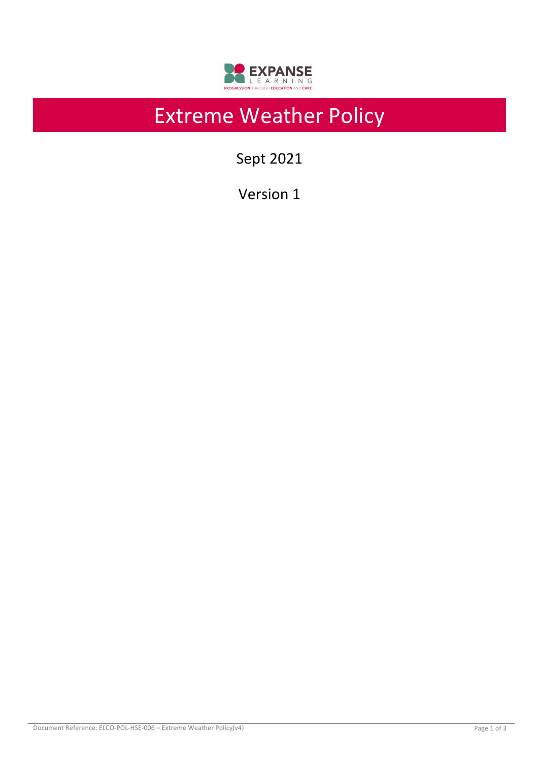

# Extreme Weather Policy

Sept 2021

Version 1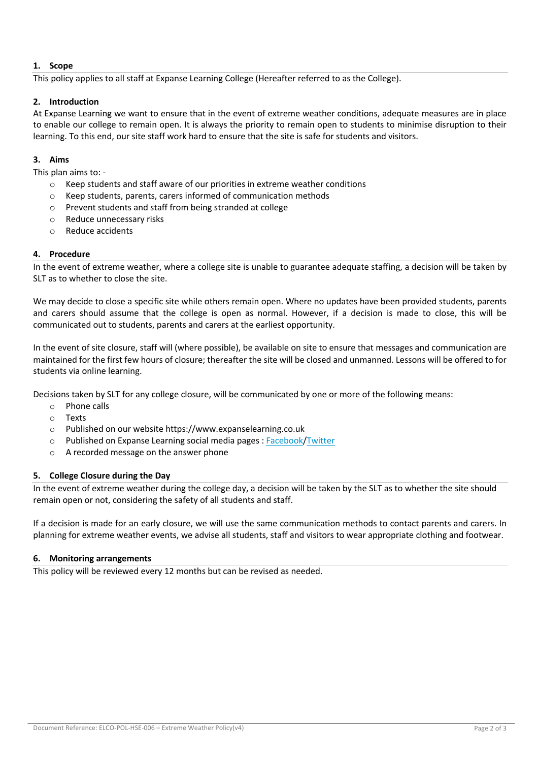## **1. Scope**

This policy applies to all staff at Expanse Learning College (Hereafter referred to as the College).

# **2. Introduction**

At Expanse Learning we want to ensure that in the event of extreme weather conditions, adequate measures are in place to enable our college to remain open. It is always the priority to remain open to students to minimise disruption to their learning. To this end, our site staff work hard to ensure that the site is safe for students and visitors.

## **3. Aims**

#### This plan aims to: -

- $\circ$  Keep students and staff aware of our priorities in extreme weather conditions
- o Keep students, parents, carers informed of communication methods
- o Prevent students and staff from being stranded at college
- o Reduce unnecessary risks
- o Reduce accidents

# **4. Procedure**

In the event of extreme weather, where a college site is unable to guarantee adequate staffing, a decision will be taken by SLT as to whether to close the site.

We may decide to close a specific site while others remain open. Where no updates have been provided students, parents and carers should assume that the college is open as normal. However, if a decision is made to close, this will be communicated out to students, parents and carers at the earliest opportunity.

In the event of site closure, staff will (where possible), be available on site to ensure that messages and communication are maintained for the first few hours of closure; thereafter the site will be closed and unmanned. Lessons will be offered to for students via online learning.

Decisions taken by SLT for any college closure, will be communicated by one or more of the following means:

- o Phone calls
- o Texts
- o Published on our website https://www.expanselearning.co.uk
- o Published on Expanse Learning social media pages : Facebook/Twitter
- o A recorded message on the answer phone

## **5. College Closure during the Day**

In the event of extreme weather during the college day, a decision will be taken by the SLT as to whether the site should remain open or not, considering the safety of all students and staff.

If a decision is made for an early closure, we will use the same communication methods to contact parents and carers. In planning for extreme weather events, we advise all students, staff and visitors to wear appropriate clothing and footwear.

## **6. Monitoring arrangements**

This policy will be reviewed every 12 months but can be revised as needed.